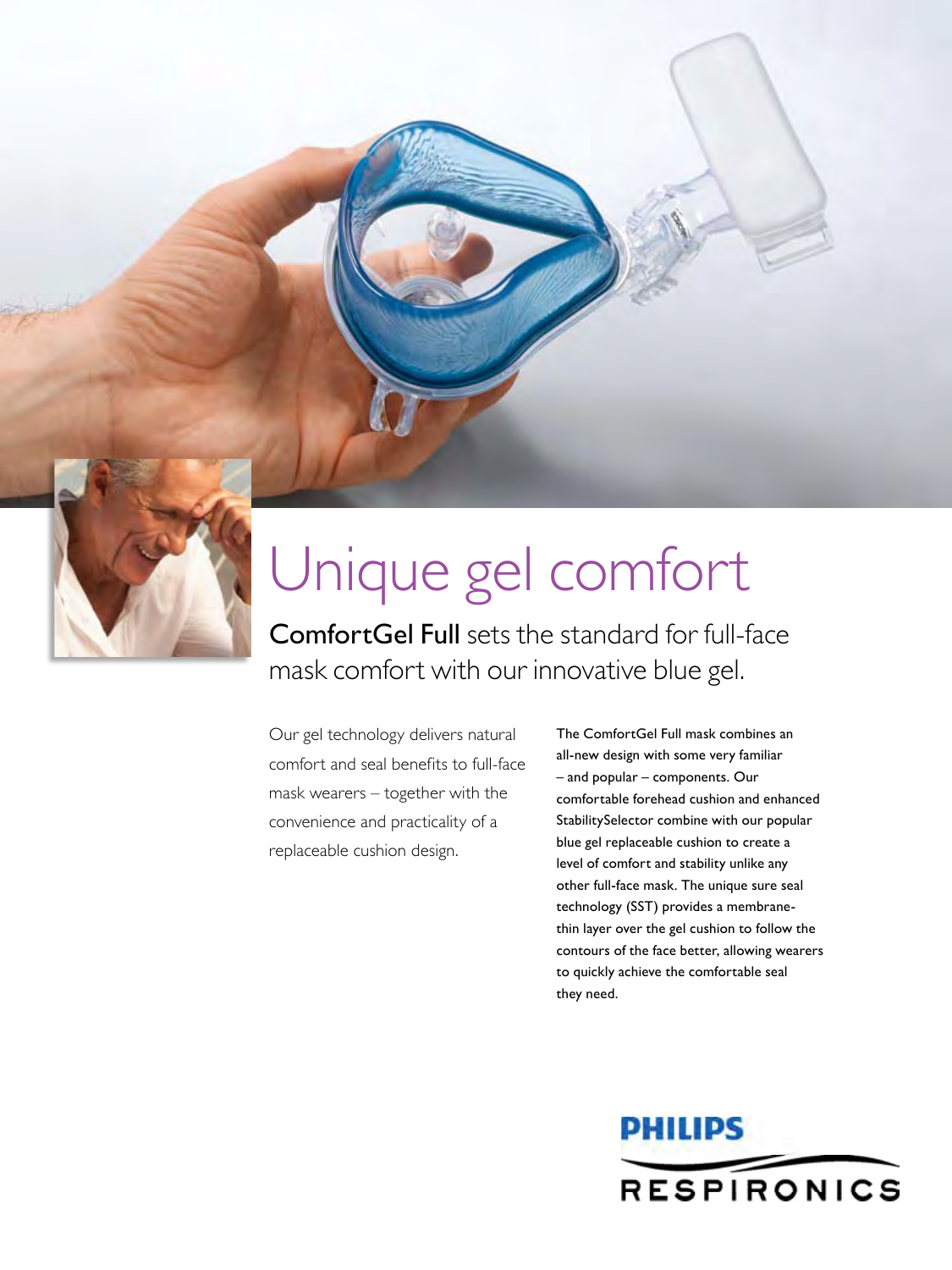

## Unique gel comfort

ComfortGel Full sets the standard for full-face mask comfort with our innovative blue gel.

Our gel technology delivers natural comfort and seal benefits to full-face mask wearers – together with the convenience and practicality of a replaceable cushion design.

The ComfortGel Full mask combines an all-new design with some very familiar – and popular – components. Our comfortable forehead cushion and enhanced StabilitySelector combine with our popular blue gel replaceable cushion to create a level of comfort and stability unlike any other full-face mask. The unique sure seal technology (SST) provides a membranethin layer over the gel cushion to follow the contours of the face better, allowing wearers to quickly achieve the comfortable seal they need.